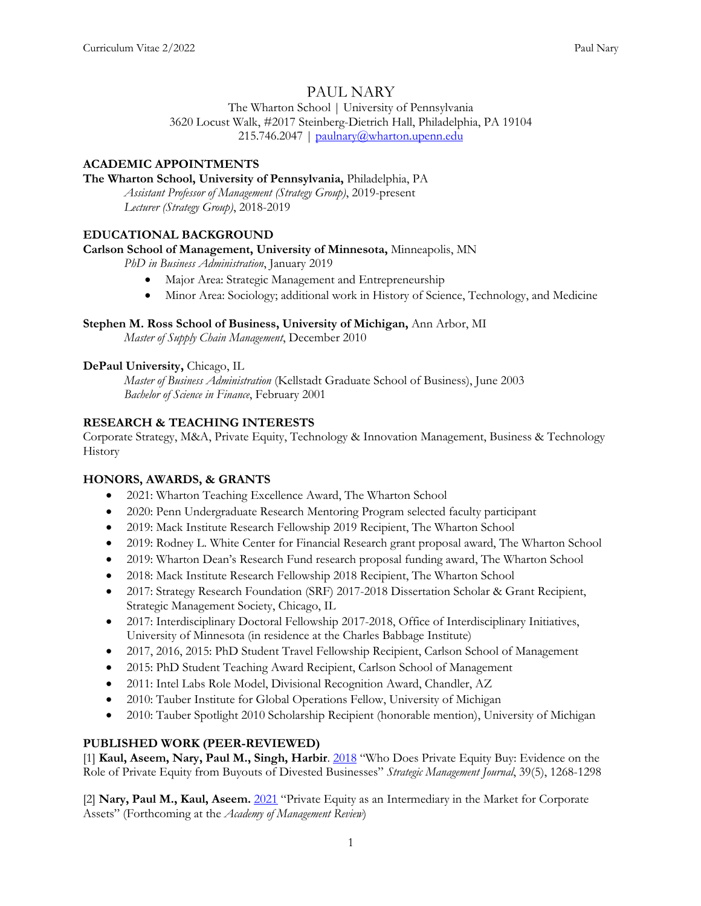# PAUL NARY

The Wharton School | University of Pennsylvania 3620 Locust Walk, #2017 Steinberg-Dietrich Hall, Philadelphia, PA 19104 215.746.2047 | paulnary@wharton.upenn.edu

## **ACADEMIC APPOINTMENTS**

#### **The Wharton School, University of Pennsylvania,** Philadelphia, PA

*Assistant Professor of Management (Strategy Group)*, 2019-present *Lecturer (Strategy Group)*, 2018-2019

### **EDUCATIONAL BACKGROUND**

#### **Carlson School of Management, University of Minnesota,** Minneapolis, MN

*PhD in Business Administration*, January 2019

- Major Area: Strategic Management and Entrepreneurship
- Minor Area: Sociology; additional work in History of Science, Technology, and Medicine

#### **Stephen M. Ross School of Business, University of Michigan,** Ann Arbor, MI

*Master of Supply Chain Management*, December 2010

### **DePaul University,** Chicago, IL

*Master of Business Administration* (Kellstadt Graduate School of Business), June 2003 *Bachelor of Science in Finance*, February 2001

### **RESEARCH & TEACHING INTERESTS**

Corporate Strategy, M&A, Private Equity, Technology & Innovation Management, Business & Technology History

#### **HONORS, AWARDS, & GRANTS**

- 2021: Wharton Teaching Excellence Award, The Wharton School
- 2020: Penn Undergraduate Research Mentoring Program selected faculty participant
- 2019: Mack Institute Research Fellowship 2019 Recipient, The Wharton School
- 2019: Rodney L. White Center for Financial Research grant proposal award, The Wharton School
- 2019: Wharton Dean's Research Fund research proposal funding award, The Wharton School
- 2018: Mack Institute Research Fellowship 2018 Recipient, The Wharton School
- 2017: Strategy Research Foundation (SRF) 2017-2018 Dissertation Scholar & Grant Recipient, Strategic Management Society, Chicago, IL
- 2017: Interdisciplinary Doctoral Fellowship 2017-2018, Office of Interdisciplinary Initiatives, University of Minnesota (in residence at the Charles Babbage Institute)
- 2017, 2016, 2015: PhD Student Travel Fellowship Recipient, Carlson School of Management
- 2015: PhD Student Teaching Award Recipient, Carlson School of Management
- 2011: Intel Labs Role Model, Divisional Recognition Award, Chandler, AZ
- 2010: Tauber Institute for Global Operations Fellow, University of Michigan
- 2010: Tauber Spotlight 2010 Scholarship Recipient (honorable mention), University of Michigan

#### **PUBLISHED WORK (PEER-REVIEWED)**

[1] **Kaul, Aseem, Nary, Paul M., Singh, Harbir**. 2018 "Who Does Private Equity Buy: Evidence on the Role of Private Equity from Buyouts of Divested Businesses" *Strategic Management Journal*, 39(5), 1268-1298

[2] **Nary, Paul M., Kaul, Aseem.** 2021 "Private Equity as an Intermediary in the Market for Corporate Assets" (Forthcoming at the *Academy of Management Review*)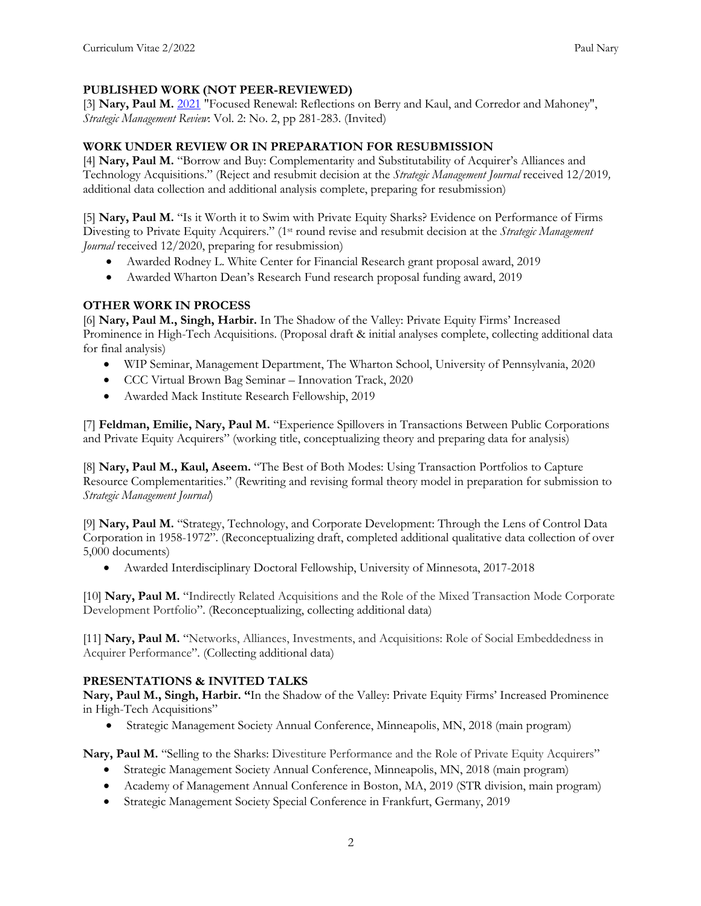## **PUBLISHED WORK (NOT PEER-REVIEWED)**

[3] **Nary, Paul M.** 2021 "Focused Renewal: Reflections on Berry and Kaul, and Corredor and Mahoney", *Strategic Management Review*: Vol. 2: No. 2, pp 281-283. (Invited)

## **WORK UNDER REVIEW OR IN PREPARATION FOR RESUBMISSION**

[4] **Nary, Paul M.** "Borrow and Buy: Complementarity and Substitutability of Acquirer's Alliances and Technology Acquisitions." (Reject and resubmit decision at the *Strategic Management Journal* received 12/2019*,* additional data collection and additional analysis complete, preparing for resubmission)

[5] **Nary, Paul M.** "Is it Worth it to Swim with Private Equity Sharks? Evidence on Performance of Firms Divesting to Private Equity Acquirers." (1st round revise and resubmit decision at the *Strategic Management Journal* received 12/2020, preparing for resubmission)

- Awarded Rodney L. White Center for Financial Research grant proposal award, 2019
- Awarded Wharton Dean's Research Fund research proposal funding award, 2019

## **OTHER WORK IN PROCESS**

[6] **Nary, Paul M., Singh, Harbir.** In The Shadow of the Valley: Private Equity Firms' Increased Prominence in High-Tech Acquisitions. (Proposal draft & initial analyses complete, collecting additional data for final analysis)

- WIP Seminar, Management Department, The Wharton School, University of Pennsylvania, 2020
- CCC Virtual Brown Bag Seminar Innovation Track, 2020
- Awarded Mack Institute Research Fellowship, 2019

[7] **Feldman, Emilie, Nary, Paul M.** "Experience Spillovers in Transactions Between Public Corporations and Private Equity Acquirers" (working title, conceptualizing theory and preparing data for analysis)

[8] **Nary, Paul M., Kaul, Aseem.** "The Best of Both Modes: Using Transaction Portfolios to Capture Resource Complementarities." (Rewriting and revising formal theory model in preparation for submission to *Strategic Management Journal*)

[9] **Nary, Paul M.** "Strategy, Technology, and Corporate Development: Through the Lens of Control Data Corporation in 1958-1972". (Reconceptualizing draft, completed additional qualitative data collection of over 5,000 documents)

• Awarded Interdisciplinary Doctoral Fellowship, University of Minnesota, 2017-2018

[10] **Nary, Paul M.** "Indirectly Related Acquisitions and the Role of the Mixed Transaction Mode Corporate Development Portfolio". (Reconceptualizing, collecting additional data)

[11] **Nary, Paul M.** "Networks, Alliances, Investments, and Acquisitions: Role of Social Embeddedness in Acquirer Performance". (Collecting additional data)

## **PRESENTATIONS & INVITED TALKS**

**Nary, Paul M., Singh, Harbir. "**In the Shadow of the Valley: Private Equity Firms' Increased Prominence in High-Tech Acquisitions"

• Strategic Management Society Annual Conference, Minneapolis, MN, 2018 (main program)

Nary, Paul M. "Selling to the Sharks: Divestiture Performance and the Role of Private Equity Acquirers"

- Strategic Management Society Annual Conference, Minneapolis, MN, 2018 (main program)
- Academy of Management Annual Conference in Boston, MA, 2019 (STR division, main program)
- Strategic Management Society Special Conference in Frankfurt, Germany, 2019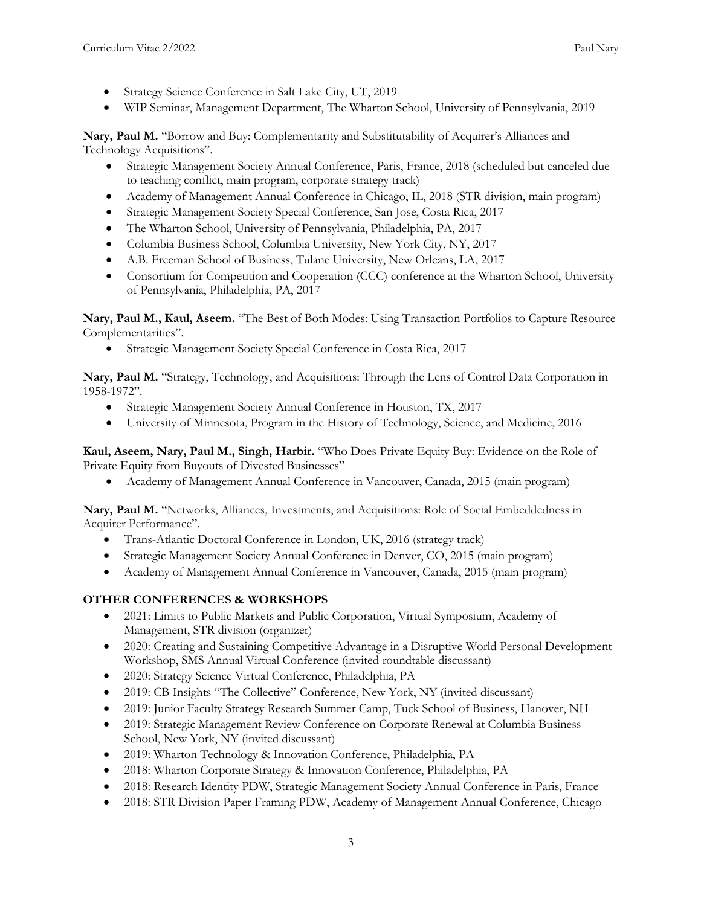- Strategy Science Conference in Salt Lake City, UT, 2019
- WIP Seminar, Management Department, The Wharton School, University of Pennsylvania, 2019

**Nary, Paul M.** "Borrow and Buy: Complementarity and Substitutability of Acquirer's Alliances and Technology Acquisitions".

- Strategic Management Society Annual Conference, Paris, France, 2018 (scheduled but canceled due to teaching conflict, main program, corporate strategy track)
- Academy of Management Annual Conference in Chicago, IL, 2018 (STR division, main program)
- Strategic Management Society Special Conference, San Jose, Costa Rica, 2017
- The Wharton School, University of Pennsylvania, Philadelphia, PA, 2017
- Columbia Business School, Columbia University, New York City, NY, 2017
- A.B. Freeman School of Business, Tulane University, New Orleans, LA, 2017
- Consortium for Competition and Cooperation (CCC) conference at the Wharton School, University of Pennsylvania, Philadelphia, PA, 2017

**Nary, Paul M., Kaul, Aseem.** "The Best of Both Modes: Using Transaction Portfolios to Capture Resource Complementarities".

• Strategic Management Society Special Conference in Costa Rica, 2017

**Nary, Paul M.** "Strategy, Technology, and Acquisitions: Through the Lens of Control Data Corporation in 1958-1972".

- Strategic Management Society Annual Conference in Houston, TX, 2017
- University of Minnesota, Program in the History of Technology, Science, and Medicine, 2016

**Kaul, Aseem, Nary, Paul M., Singh, Harbir.** "Who Does Private Equity Buy: Evidence on the Role of Private Equity from Buyouts of Divested Businesses"

• Academy of Management Annual Conference in Vancouver, Canada, 2015 (main program)

**Nary, Paul M.** "Networks, Alliances, Investments, and Acquisitions: Role of Social Embeddedness in Acquirer Performance".

- Trans-Atlantic Doctoral Conference in London, UK, 2016 (strategy track)
- Strategic Management Society Annual Conference in Denver, CO, 2015 (main program)
- Academy of Management Annual Conference in Vancouver, Canada, 2015 (main program)

### **OTHER CONFERENCES & WORKSHOPS**

- 2021: Limits to Public Markets and Public Corporation, Virtual Symposium, Academy of Management, STR division (organizer)
- 2020: Creating and Sustaining Competitive Advantage in a Disruptive World Personal Development Workshop, SMS Annual Virtual Conference (invited roundtable discussant)
- 2020: Strategy Science Virtual Conference, Philadelphia, PA
- 2019: CB Insights "The Collective" Conference, New York, NY (invited discussant)
- 2019: Junior Faculty Strategy Research Summer Camp, Tuck School of Business, Hanover, NH
- 2019: Strategic Management Review Conference on Corporate Renewal at Columbia Business School, New York, NY (invited discussant)
- 2019: Wharton Technology & Innovation Conference, Philadelphia, PA
- 2018: Wharton Corporate Strategy & Innovation Conference, Philadelphia, PA
- 2018: Research Identity PDW, Strategic Management Society Annual Conference in Paris, France
- 2018: STR Division Paper Framing PDW, Academy of Management Annual Conference, Chicago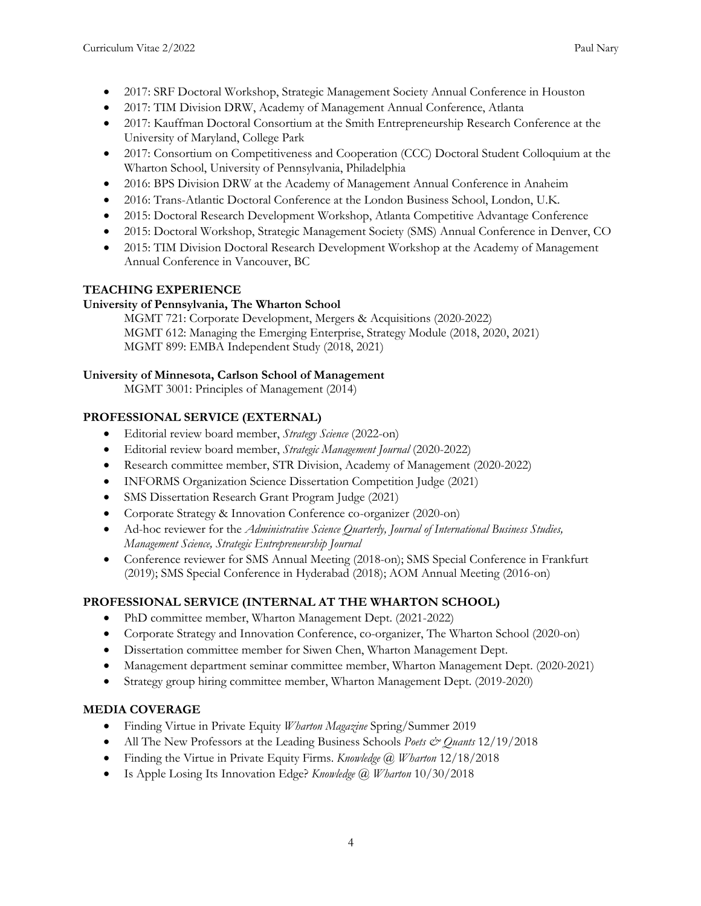- 2017: SRF Doctoral Workshop, Strategic Management Society Annual Conference in Houston
- 2017: TIM Division DRW, Academy of Management Annual Conference, Atlanta
- 2017: Kauffman Doctoral Consortium at the Smith Entrepreneurship Research Conference at the University of Maryland, College Park
- 2017: Consortium on Competitiveness and Cooperation (CCC) Doctoral Student Colloquium at the Wharton School, University of Pennsylvania, Philadelphia
- 2016: BPS Division DRW at the Academy of Management Annual Conference in Anaheim
- 2016: Trans-Atlantic Doctoral Conference at the London Business School, London, U.K.
- 2015: Doctoral Research Development Workshop, Atlanta Competitive Advantage Conference
- 2015: Doctoral Workshop, Strategic Management Society (SMS) Annual Conference in Denver, CO
- 2015: TIM Division Doctoral Research Development Workshop at the Academy of Management Annual Conference in Vancouver, BC

# **TEACHING EXPERIENCE**

## **University of Pennsylvania, The Wharton School**

MGMT 721: Corporate Development, Mergers & Acquisitions (2020-2022) MGMT 612: Managing the Emerging Enterprise, Strategy Module (2018, 2020, 2021) MGMT 899: EMBA Independent Study (2018, 2021)

## **University of Minnesota, Carlson School of Management**

MGMT 3001: Principles of Management (2014)

# **PROFESSIONAL SERVICE (EXTERNAL)**

- Editorial review board member, *Strategy Science* (2022-on)
- Editorial review board member, *Strategic Management Journal* (2020-2022)
- Research committee member, STR Division, Academy of Management (2020-2022)
- INFORMS Organization Science Dissertation Competition Judge (2021)
- SMS Dissertation Research Grant Program Judge (2021)
- Corporate Strategy & Innovation Conference co-organizer (2020-on)
- Ad-hoc reviewer for the *Administrative Science Quarterly, Journal of International Business Studies, Management Science, Strategic Entrepreneurship Journal*
- Conference reviewer for SMS Annual Meeting (2018-on); SMS Special Conference in Frankfurt (2019); SMS Special Conference in Hyderabad (2018); AOM Annual Meeting (2016-on)

# **PROFESSIONAL SERVICE (INTERNAL AT THE WHARTON SCHOOL)**

- PhD committee member, Wharton Management Dept. (2021-2022)
- Corporate Strategy and Innovation Conference, co-organizer, The Wharton School (2020-on)
- Dissertation committee member for Siwen Chen, Wharton Management Dept.
- Management department seminar committee member, Wharton Management Dept. (2020-2021)
- Strategy group hiring committee member, Wharton Management Dept. (2019-2020)

# **MEDIA COVERAGE**

- Finding Virtue in Private Equity *Wharton Magazine* Spring/Summer 2019
- All The New Professors at the Leading Business Schools *Poets & Quants* 12/19/2018
- Finding the Virtue in Private Equity Firms. *Knowledge @ Wharton* 12/18/2018
- Is Apple Losing Its Innovation Edge? *Knowledge @ Wharton* 10/30/2018